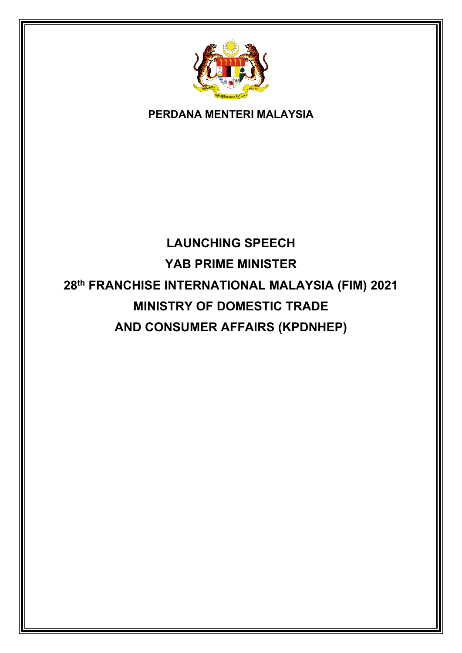

#### **PERDANA MENTERI MALAYSIA**

# **LAUNCHING SPEECH YAB PRIME MINISTER 28th FRANCHISE INTERNATIONAL MALAYSIA (FIM) 2021 MINISTRY OF DOMESTIC TRADE AND CONSUMER AFFAIRS (KPDNHEP)**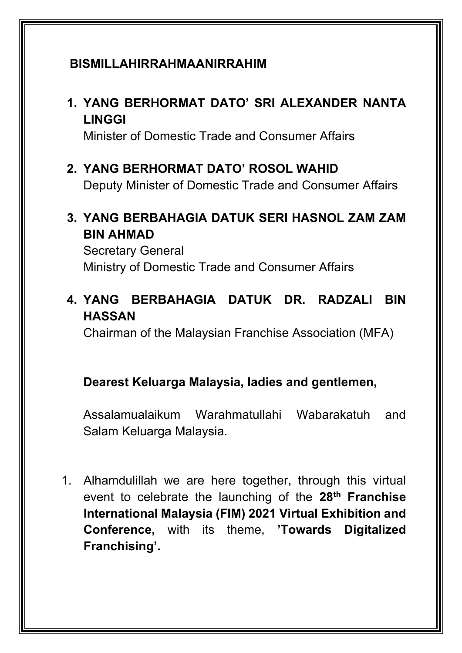## **BISMILLAHIRRAHMAANIRRAHIM**

## **1. YANG BERHORMAT DATO' SRI ALEXANDER NANTA LINGGI**

Minister of Domestic Trade and Consumer Affairs

## **2. YANG BERHORMAT DATO' ROSOL WAHID**

Deputy Minister of Domestic Trade and Consumer Affairs

## **3. YANG BERBAHAGIA DATUK SERI HASNOL ZAM ZAM BIN AHMAD**

Secretary General Ministry of Domestic Trade and Consumer Affairs

# **4. YANG BERBAHAGIA DATUK DR. RADZALI BIN HASSAN**

Chairman of the Malaysian Franchise Association (MFA)

#### **Dearest Keluarga Malaysia, ladies and gentlemen,**

Assalamualaikum Warahmatullahi Wabarakatuh and Salam Keluarga Malaysia.

1. Alhamdulillah we are here together, through this virtual event to celebrate the launching of the **28th Franchise International Malaysia (FIM) 2021 Virtual Exhibition and Conference,** with its theme, **'Towards Digitalized Franchising'.**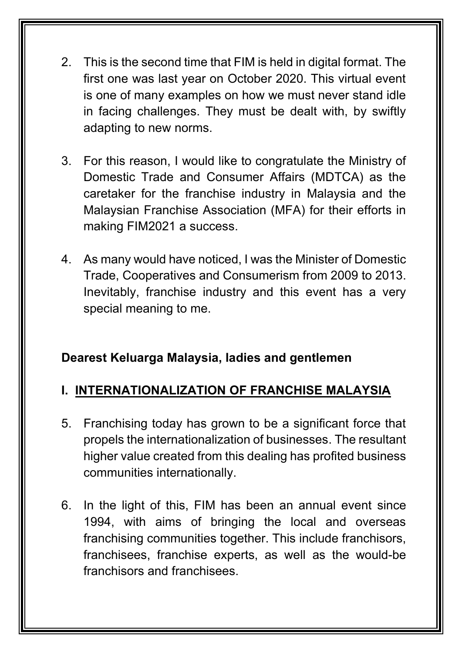- 2. This is the second time that FIM is held in digital format. The first one was last year on October 2020. This virtual event is one of many examples on how we must never stand idle in facing challenges. They must be dealt with, by swiftly adapting to new norms.
- 3. For this reason, I would like to congratulate the Ministry of Domestic Trade and Consumer Affairs (MDTCA) as the caretaker for the franchise industry in Malaysia and the Malaysian Franchise Association (MFA) for their efforts in making FIM2021 a success.
- 4. As many would have noticed, I was the Minister of Domestic Trade, Cooperatives and Consumerism from 2009 to 2013. Inevitably, franchise industry and this event has a very special meaning to me.

# **I. INTERNATIONALIZATION OF FRANCHISE MALAYSIA**

- 5. Franchising today has grown to be a significant force that propels the internationalization of businesses. The resultant higher value created from this dealing has profited business communities internationally.
- 6. In the light of this, FIM has been an annual event since 1994, with aims of bringing the local and overseas franchising communities together. This include franchisors, franchisees, franchise experts, as well as the would-be franchisors and franchisees.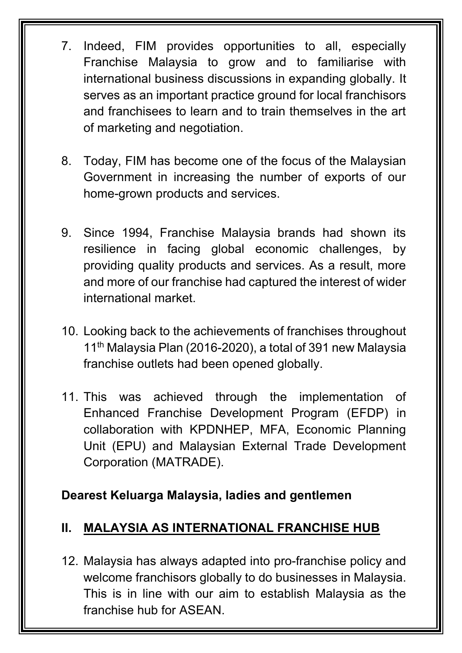- 7. Indeed, FIM provides opportunities to all, especially Franchise Malaysia to grow and to familiarise with international business discussions in expanding globally. It serves as an important practice ground for local franchisors and franchisees to learn and to train themselves in the art of marketing and negotiation.
- 8. Today, FIM has become one of the focus of the Malaysian Government in increasing the number of exports of our home-grown products and services.
- 9. Since 1994, Franchise Malaysia brands had shown its resilience in facing global economic challenges, by providing quality products and services. As a result, more and more of our franchise had captured the interest of wider international market.
- 10. Looking back to the achievements of franchises throughout 11<sup>th</sup> Malaysia Plan (2016-2020), a total of 391 new Malaysia franchise outlets had been opened globally.
- 11. This was achieved through the implementation of Enhanced Franchise Development Program (EFDP) in collaboration with KPDNHEP, MFA, Economic Planning Unit (EPU) and Malaysian External Trade Development Corporation (MATRADE).

# **II. MALAYSIA AS INTERNATIONAL FRANCHISE HUB**

12. Malaysia has always adapted into pro-franchise policy and welcome franchisors globally to do businesses in Malaysia. This is in line with our aim to establish Malaysia as the franchise hub for ASEAN.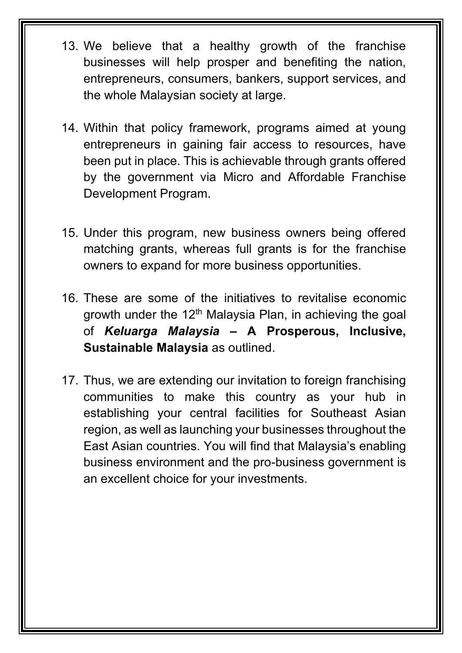- 13. We believe that a healthy growth of the franchise businesses will help prosper and benefiting the nation, entrepreneurs, consumers, bankers, support services, and the whole Malaysian society at large.
- 14. Within that policy framework, programs aimed at young entrepreneurs in gaining fair access to resources, have been put in place. This is achievable through grants offered by the government via Micro and Affordable Franchise Development Program.
- 15. Under this program, new business owners being offered matching grants, whereas full grants is for the franchise owners to expand for more business opportunities.
- 16. These are some of the initiatives to revitalise economic growth under the 12<sup>th</sup> Malaysia Plan, in achieving the goal of *Keluarga Malaysia –* **A Prosperous, Inclusive, Sustainable Malaysia** as outlined.
- 17. Thus, we are extending our invitation to foreign franchising communities to make this country as your hub in establishing your central facilities for Southeast Asian region, as well as launching your businesses throughout the East Asian countries. You will find that Malaysia's enabling business environment and the pro-business government is an excellent choice for your investments.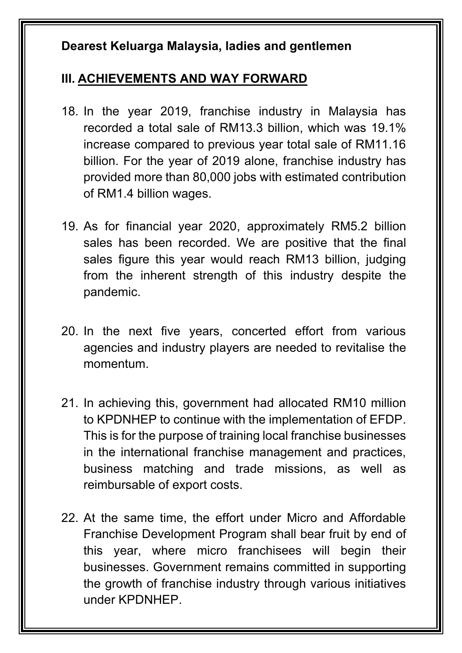## **III. ACHIEVEMENTS AND WAY FORWARD**

- 18. In the year 2019, franchise industry in Malaysia has recorded a total sale of RM13.3 billion, which was 19.1% increase compared to previous year total sale of RM11.16 billion. For the year of 2019 alone, franchise industry has provided more than 80,000 jobs with estimated contribution of RM1.4 billion wages.
- 19. As for financial year 2020, approximately RM5.2 billion sales has been recorded. We are positive that the final sales figure this year would reach RM13 billion, judging from the inherent strength of this industry despite the pandemic.
- 20. In the next five years, concerted effort from various agencies and industry players are needed to revitalise the momentum.
- 21. In achieving this, government had allocated RM10 million to KPDNHEP to continue with the implementation of EFDP. This is for the purpose of training local franchise businesses in the international franchise management and practices, business matching and trade missions, as well as reimbursable of export costs.
- 22. At the same time, the effort under Micro and Affordable Franchise Development Program shall bear fruit by end of this year, where micro franchisees will begin their businesses. Government remains committed in supporting the growth of franchise industry through various initiatives under KPDNHEP.